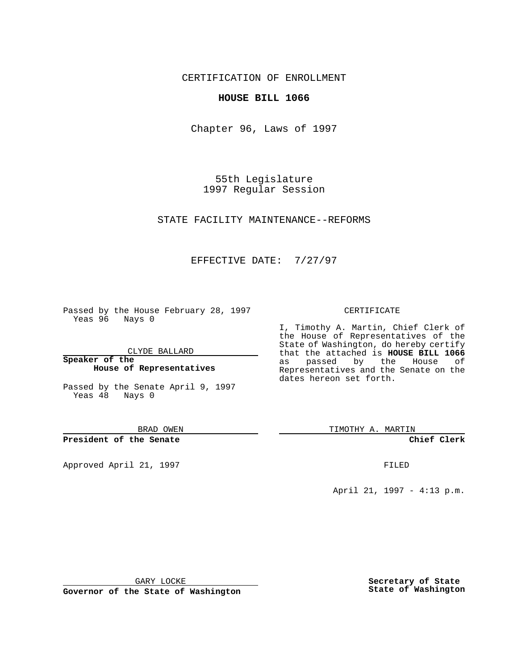CERTIFICATION OF ENROLLMENT

## **HOUSE BILL 1066**

Chapter 96, Laws of 1997

55th Legislature 1997 Regular Session

STATE FACILITY MAINTENANCE--REFORMS

## EFFECTIVE DATE: 7/27/97

Passed by the House February 28, 1997 Yeas 96 Nays 0

CLYDE BALLARD

**Speaker of the House of Representatives**

Passed by the Senate April 9, 1997 Yeas 48 Nays 0

BRAD OWEN

**President of the Senate**

Approved April 21, 1997 **FILED** 

#### CERTIFICATE

I, Timothy A. Martin, Chief Clerk of the House of Representatives of the State of Washington, do hereby certify that the attached is **HOUSE BILL 1066** as passed by the House of Representatives and the Senate on the dates hereon set forth.

TIMOTHY A. MARTIN

**Chief Clerk**

April 21, 1997 - 4:13 p.m.

GARY LOCKE

**Governor of the State of Washington**

**Secretary of State State of Washington**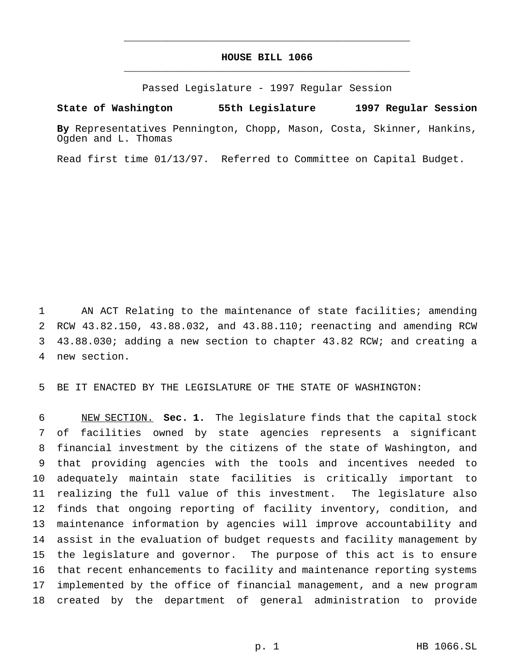# **HOUSE BILL 1066** \_\_\_\_\_\_\_\_\_\_\_\_\_\_\_\_\_\_\_\_\_\_\_\_\_\_\_\_\_\_\_\_\_\_\_\_\_\_\_\_\_\_\_\_\_\_\_

\_\_\_\_\_\_\_\_\_\_\_\_\_\_\_\_\_\_\_\_\_\_\_\_\_\_\_\_\_\_\_\_\_\_\_\_\_\_\_\_\_\_\_\_\_\_\_

Passed Legislature - 1997 Regular Session

### **State of Washington 55th Legislature 1997 Regular Session**

**By** Representatives Pennington, Chopp, Mason, Costa, Skinner, Hankins, Ogden and L. Thomas

Read first time 01/13/97. Referred to Committee on Capital Budget.

 AN ACT Relating to the maintenance of state facilities; amending RCW 43.82.150, 43.88.032, and 43.88.110; reenacting and amending RCW 43.88.030; adding a new section to chapter 43.82 RCW; and creating a new section.

BE IT ENACTED BY THE LEGISLATURE OF THE STATE OF WASHINGTON:

 NEW SECTION. **Sec. 1.** The legislature finds that the capital stock of facilities owned by state agencies represents a significant financial investment by the citizens of the state of Washington, and that providing agencies with the tools and incentives needed to adequately maintain state facilities is critically important to realizing the full value of this investment. The legislature also finds that ongoing reporting of facility inventory, condition, and maintenance information by agencies will improve accountability and assist in the evaluation of budget requests and facility management by the legislature and governor. The purpose of this act is to ensure that recent enhancements to facility and maintenance reporting systems implemented by the office of financial management, and a new program created by the department of general administration to provide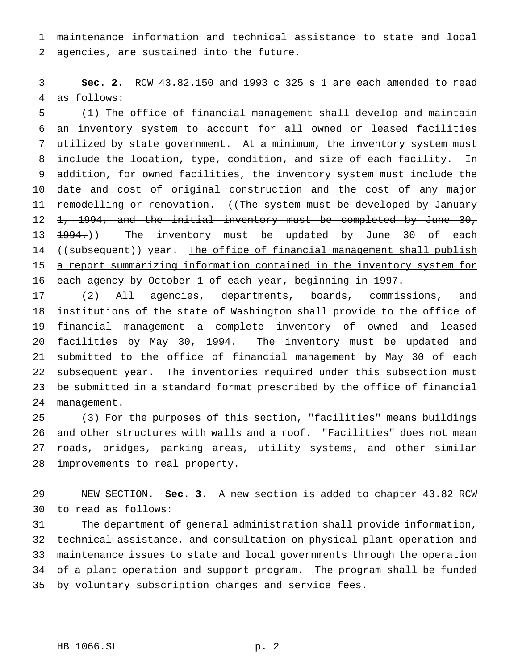maintenance information and technical assistance to state and local agencies, are sustained into the future.

 **Sec. 2.** RCW 43.82.150 and 1993 c 325 s 1 are each amended to read as follows:

 (1) The office of financial management shall develop and maintain an inventory system to account for all owned or leased facilities utilized by state government. At a minimum, the inventory system must 8 include the location, type, condition, and size of each facility. In addition, for owned facilities, the inventory system must include the date and cost of original construction and the cost of any major 11 remodelling or renovation. ((The system must be developed by January 12 1, 1994, and the initial inventory must be completed by June 30, 13 <del>1994.</del>)) The inventory must be updated by June 30 of each 14 ((subsequent)) year. The office of financial management shall publish a report summarizing information contained in the inventory system for 16 each agency by October 1 of each year, beginning in 1997.

 (2) All agencies, departments, boards, commissions, and institutions of the state of Washington shall provide to the office of financial management a complete inventory of owned and leased facilities by May 30, 1994. The inventory must be updated and submitted to the office of financial management by May 30 of each subsequent year. The inventories required under this subsection must be submitted in a standard format prescribed by the office of financial management.

 (3) For the purposes of this section, "facilities" means buildings and other structures with walls and a roof. "Facilities" does not mean roads, bridges, parking areas, utility systems, and other similar improvements to real property.

 NEW SECTION. **Sec. 3.** A new section is added to chapter 43.82 RCW to read as follows:

 The department of general administration shall provide information, technical assistance, and consultation on physical plant operation and maintenance issues to state and local governments through the operation of a plant operation and support program. The program shall be funded by voluntary subscription charges and service fees.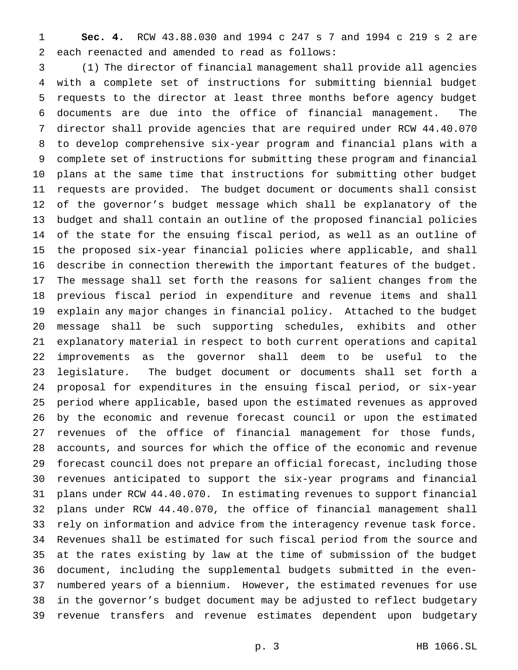**Sec. 4.** RCW 43.88.030 and 1994 c 247 s 7 and 1994 c 219 s 2 are each reenacted and amended to read as follows:

 (1) The director of financial management shall provide all agencies with a complete set of instructions for submitting biennial budget requests to the director at least three months before agency budget documents are due into the office of financial management. The director shall provide agencies that are required under RCW 44.40.070 to develop comprehensive six-year program and financial plans with a complete set of instructions for submitting these program and financial plans at the same time that instructions for submitting other budget requests are provided. The budget document or documents shall consist of the governor's budget message which shall be explanatory of the budget and shall contain an outline of the proposed financial policies of the state for the ensuing fiscal period, as well as an outline of the proposed six-year financial policies where applicable, and shall describe in connection therewith the important features of the budget. The message shall set forth the reasons for salient changes from the previous fiscal period in expenditure and revenue items and shall explain any major changes in financial policy. Attached to the budget message shall be such supporting schedules, exhibits and other explanatory material in respect to both current operations and capital improvements as the governor shall deem to be useful to the legislature. The budget document or documents shall set forth a proposal for expenditures in the ensuing fiscal period, or six-year period where applicable, based upon the estimated revenues as approved by the economic and revenue forecast council or upon the estimated revenues of the office of financial management for those funds, accounts, and sources for which the office of the economic and revenue forecast council does not prepare an official forecast, including those revenues anticipated to support the six-year programs and financial plans under RCW 44.40.070. In estimating revenues to support financial plans under RCW 44.40.070, the office of financial management shall rely on information and advice from the interagency revenue task force. Revenues shall be estimated for such fiscal period from the source and at the rates existing by law at the time of submission of the budget document, including the supplemental budgets submitted in the even- numbered years of a biennium. However, the estimated revenues for use in the governor's budget document may be adjusted to reflect budgetary revenue transfers and revenue estimates dependent upon budgetary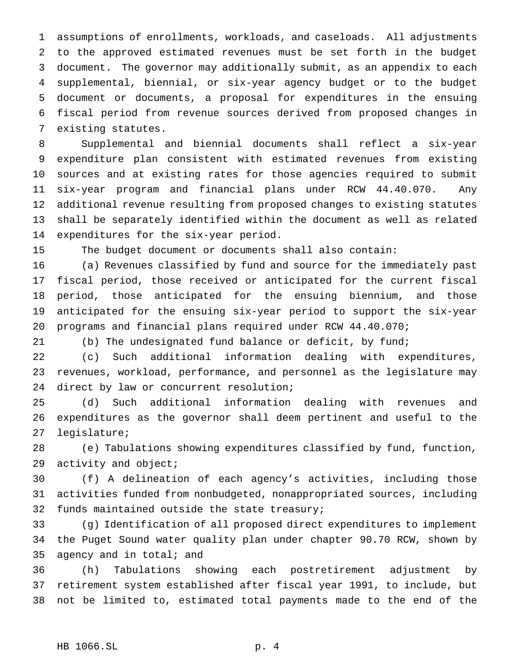assumptions of enrollments, workloads, and caseloads. All adjustments to the approved estimated revenues must be set forth in the budget document. The governor may additionally submit, as an appendix to each supplemental, biennial, or six-year agency budget or to the budget document or documents, a proposal for expenditures in the ensuing fiscal period from revenue sources derived from proposed changes in existing statutes.

 Supplemental and biennial documents shall reflect a six-year expenditure plan consistent with estimated revenues from existing sources and at existing rates for those agencies required to submit six-year program and financial plans under RCW 44.40.070. Any additional revenue resulting from proposed changes to existing statutes shall be separately identified within the document as well as related expenditures for the six-year period.

The budget document or documents shall also contain:

 (a) Revenues classified by fund and source for the immediately past fiscal period, those received or anticipated for the current fiscal period, those anticipated for the ensuing biennium, and those anticipated for the ensuing six-year period to support the six-year programs and financial plans required under RCW 44.40.070;

(b) The undesignated fund balance or deficit, by fund;

 (c) Such additional information dealing with expenditures, revenues, workload, performance, and personnel as the legislature may 24 direct by law or concurrent resolution;

 (d) Such additional information dealing with revenues and expenditures as the governor shall deem pertinent and useful to the legislature;

 (e) Tabulations showing expenditures classified by fund, function, activity and object;

 (f) A delineation of each agency's activities, including those activities funded from nonbudgeted, nonappropriated sources, including funds maintained outside the state treasury;

 (g) Identification of all proposed direct expenditures to implement the Puget Sound water quality plan under chapter 90.70 RCW, shown by agency and in total; and

 (h) Tabulations showing each postretirement adjustment by retirement system established after fiscal year 1991, to include, but not be limited to, estimated total payments made to the end of the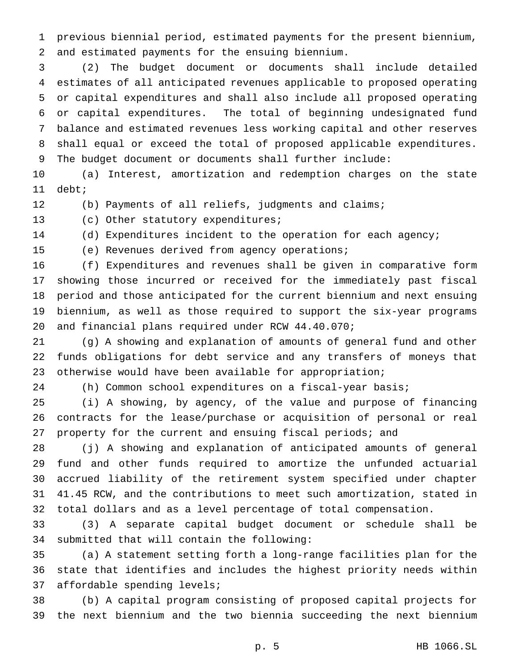previous biennial period, estimated payments for the present biennium, and estimated payments for the ensuing biennium.

 (2) The budget document or documents shall include detailed estimates of all anticipated revenues applicable to proposed operating or capital expenditures and shall also include all proposed operating or capital expenditures. The total of beginning undesignated fund balance and estimated revenues less working capital and other reserves shall equal or exceed the total of proposed applicable expenditures. The budget document or documents shall further include:

 (a) Interest, amortization and redemption charges on the state debt;

(b) Payments of all reliefs, judgments and claims;

13 (c) Other statutory expenditures;

(d) Expenditures incident to the operation for each agency;

(e) Revenues derived from agency operations;

 (f) Expenditures and revenues shall be given in comparative form showing those incurred or received for the immediately past fiscal period and those anticipated for the current biennium and next ensuing biennium, as well as those required to support the six-year programs and financial plans required under RCW 44.40.070;

 (g) A showing and explanation of amounts of general fund and other funds obligations for debt service and any transfers of moneys that 23 otherwise would have been available for appropriation;

(h) Common school expenditures on a fiscal-year basis;

 (i) A showing, by agency, of the value and purpose of financing contracts for the lease/purchase or acquisition of personal or real property for the current and ensuing fiscal periods; and

 (j) A showing and explanation of anticipated amounts of general fund and other funds required to amortize the unfunded actuarial accrued liability of the retirement system specified under chapter 41.45 RCW, and the contributions to meet such amortization, stated in total dollars and as a level percentage of total compensation.

 (3) A separate capital budget document or schedule shall be submitted that will contain the following:

 (a) A statement setting forth a long-range facilities plan for the state that identifies and includes the highest priority needs within affordable spending levels;

 (b) A capital program consisting of proposed capital projects for the next biennium and the two biennia succeeding the next biennium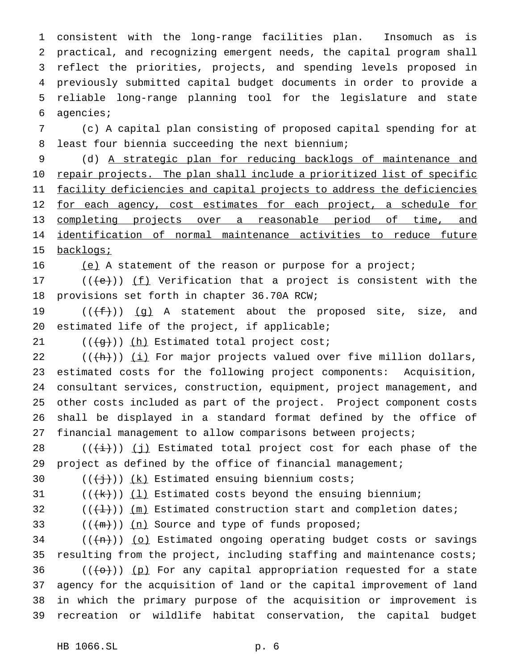consistent with the long-range facilities plan. Insomuch as is practical, and recognizing emergent needs, the capital program shall reflect the priorities, projects, and spending levels proposed in previously submitted capital budget documents in order to provide a reliable long-range planning tool for the legislature and state agencies;

 (c) A capital plan consisting of proposed capital spending for at least four biennia succeeding the next biennium;

 (d) A strategic plan for reducing backlogs of maintenance and 10 repair projects. The plan shall include a prioritized list of specific facility deficiencies and capital projects to address the deficiencies 12 for each agency, cost estimates for each project, a schedule for 13 completing projects over a reasonable period of time, and identification of normal maintenance activities to reduce future 15 backlogs;

(e) A statement of the reason or purpose for a project;

17  $((+e))$  ( $(f)$  Verification that a project is consistent with the provisions set forth in chapter 36.70A RCW;

19  $((f+))$   $(g)$  A statement about the proposed site, size, and estimated life of the project, if applicable;

21  $((+g))$   $(h)$  Estimated total project cost;

 $((+h))$   $(i)$  For major projects valued over five million dollars, estimated costs for the following project components: Acquisition, consultant services, construction, equipment, project management, and other costs included as part of the project. Project component costs shall be displayed in a standard format defined by the office of financial management to allow comparisons between projects;

28 ( $(\frac{1}{i})$ ) (j) Estimated total project cost for each phase of the 29 project as defined by the office of financial management;

30  $((\frac{1}{1}))(k)$  Estimated ensuing biennium costs;

31  $((+k))$   $(1)$  Estimated costs beyond the ensuing biennium;

32  $((+1))$   $(m)$  Estimated construction start and completion dates;

33  $((+m))$   $(n)$  Source and type of funds proposed;

 (( $\{+\mathrm{n}\}$ )) (o) Estimated ongoing operating budget costs or savings resulting from the project, including staffing and maintenance costs; (( $\left(\left\lbrace \Theta \right\rbrace$ )) (p) For any capital appropriation requested for a state agency for the acquisition of land or the capital improvement of land in which the primary purpose of the acquisition or improvement is recreation or wildlife habitat conservation, the capital budget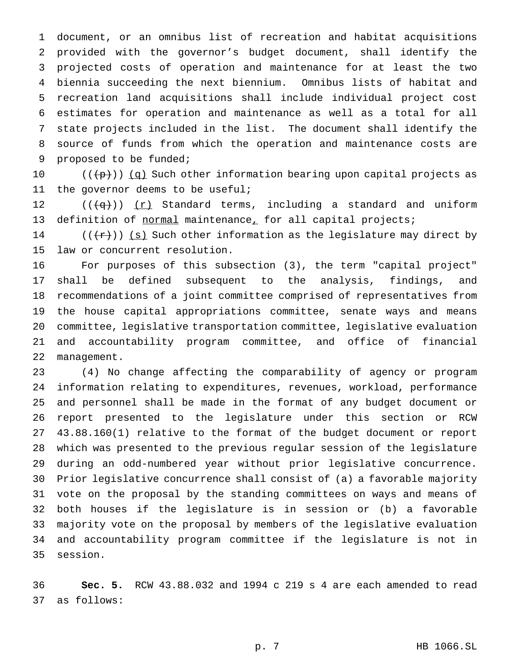document, or an omnibus list of recreation and habitat acquisitions provided with the governor's budget document, shall identify the projected costs of operation and maintenance for at least the two biennia succeeding the next biennium. Omnibus lists of habitat and recreation land acquisitions shall include individual project cost estimates for operation and maintenance as well as a total for all state projects included in the list. The document shall identify the source of funds from which the operation and maintenance costs are proposed to be funded;

 $((+p))$   $(q)$  Such other information bearing upon capital projects as the governor deems to be useful;

12  $((+q))$   $(r)$  Standard terms, including a standard and uniform 13 definition of normal maintenance, for all capital projects;

14 ( $(\{\tau\})$ ) (s) Such other information as the legislature may direct by law or concurrent resolution.

 For purposes of this subsection (3), the term "capital project" shall be defined subsequent to the analysis, findings, and recommendations of a joint committee comprised of representatives from the house capital appropriations committee, senate ways and means committee, legislative transportation committee, legislative evaluation and accountability program committee, and office of financial management.

 (4) No change affecting the comparability of agency or program information relating to expenditures, revenues, workload, performance and personnel shall be made in the format of any budget document or report presented to the legislature under this section or RCW 43.88.160(1) relative to the format of the budget document or report which was presented to the previous regular session of the legislature during an odd-numbered year without prior legislative concurrence. Prior legislative concurrence shall consist of (a) a favorable majority vote on the proposal by the standing committees on ways and means of both houses if the legislature is in session or (b) a favorable majority vote on the proposal by members of the legislative evaluation and accountability program committee if the legislature is not in session.

 **Sec. 5.** RCW 43.88.032 and 1994 c 219 s 4 are each amended to read as follows: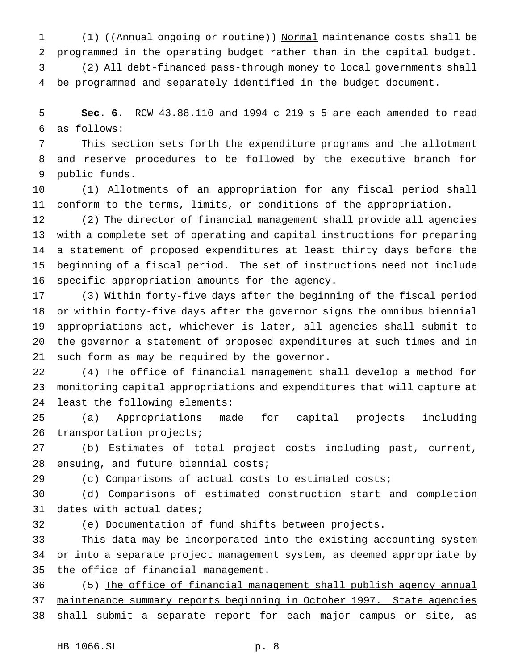(1) ((Annual ongoing or routine)) Normal maintenance costs shall be programmed in the operating budget rather than in the capital budget.

 (2) All debt-financed pass-through money to local governments shall be programmed and separately identified in the budget document.

 **Sec. 6.** RCW 43.88.110 and 1994 c 219 s 5 are each amended to read as follows:

 This section sets forth the expenditure programs and the allotment and reserve procedures to be followed by the executive branch for public funds.

 (1) Allotments of an appropriation for any fiscal period shall conform to the terms, limits, or conditions of the appropriation.

 (2) The director of financial management shall provide all agencies with a complete set of operating and capital instructions for preparing a statement of proposed expenditures at least thirty days before the beginning of a fiscal period. The set of instructions need not include specific appropriation amounts for the agency.

 (3) Within forty-five days after the beginning of the fiscal period or within forty-five days after the governor signs the omnibus biennial appropriations act, whichever is later, all agencies shall submit to the governor a statement of proposed expenditures at such times and in such form as may be required by the governor.

 (4) The office of financial management shall develop a method for monitoring capital appropriations and expenditures that will capture at least the following elements:

 (a) Appropriations made for capital projects including 26 transportation projects;

 (b) Estimates of total project costs including past, current, 28 ensuing, and future biennial costs;

(c) Comparisons of actual costs to estimated costs;

 (d) Comparisons of estimated construction start and completion dates with actual dates;

(e) Documentation of fund shifts between projects.

 This data may be incorporated into the existing accounting system or into a separate project management system, as deemed appropriate by the office of financial management.

 (5) The office of financial management shall publish agency annual maintenance summary reports beginning in October 1997. State agencies 38 shall submit a separate report for each major campus or site, as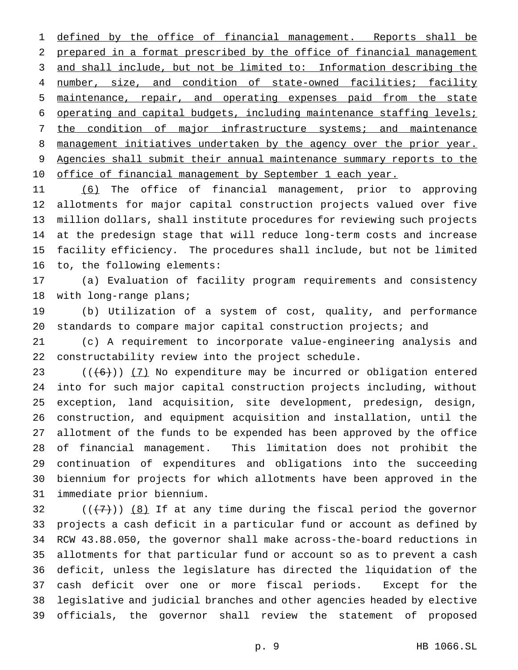1 defined by the office of financial management. Reports shall be prepared in a format prescribed by the office of financial management and shall include, but not be limited to: Information describing the 4 number, size, and condition of state-owned facilities; facility maintenance, repair, and operating expenses paid from the state operating and capital budgets, including maintenance staffing levels; 7 the condition of major infrastructure systems; and maintenance 8 management initiatives undertaken by the agency over the prior year. Agencies shall submit their annual maintenance summary reports to the 10 office of financial management by September 1 each year.

 (6) The office of financial management, prior to approving allotments for major capital construction projects valued over five million dollars, shall institute procedures for reviewing such projects at the predesign stage that will reduce long-term costs and increase facility efficiency. The procedures shall include, but not be limited to, the following elements:

 (a) Evaluation of facility program requirements and consistency 18 with long-range plans;

 (b) Utilization of a system of cost, quality, and performance standards to compare major capital construction projects; and

 (c) A requirement to incorporate value-engineering analysis and constructability review into the project schedule.

 $((+6))$   $(7)$  No expenditure may be incurred or obligation entered into for such major capital construction projects including, without exception, land acquisition, site development, predesign, design, construction, and equipment acquisition and installation, until the allotment of the funds to be expended has been approved by the office of financial management. This limitation does not prohibit the continuation of expenditures and obligations into the succeeding biennium for projects for which allotments have been approved in the immediate prior biennium.

 $((+7))$   $(8)$  If at any time during the fiscal period the governor projects a cash deficit in a particular fund or account as defined by RCW 43.88.050, the governor shall make across-the-board reductions in allotments for that particular fund or account so as to prevent a cash deficit, unless the legislature has directed the liquidation of the cash deficit over one or more fiscal periods. Except for the legislative and judicial branches and other agencies headed by elective officials, the governor shall review the statement of proposed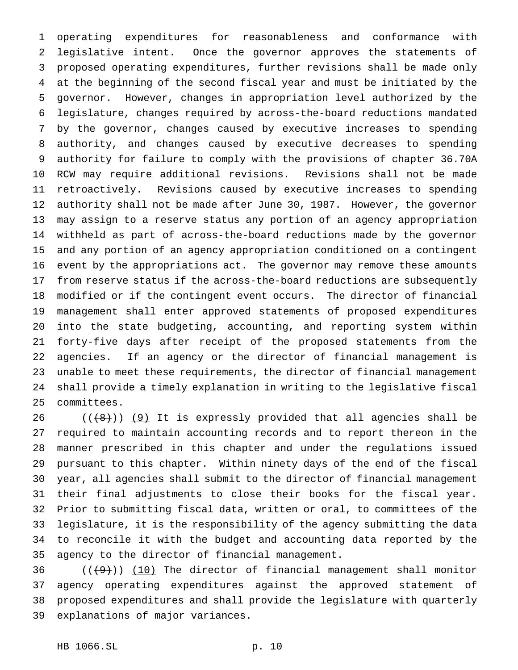operating expenditures for reasonableness and conformance with legislative intent. Once the governor approves the statements of proposed operating expenditures, further revisions shall be made only at the beginning of the second fiscal year and must be initiated by the governor. However, changes in appropriation level authorized by the legislature, changes required by across-the-board reductions mandated by the governor, changes caused by executive increases to spending authority, and changes caused by executive decreases to spending authority for failure to comply with the provisions of chapter 36.70A RCW may require additional revisions. Revisions shall not be made retroactively. Revisions caused by executive increases to spending authority shall not be made after June 30, 1987. However, the governor may assign to a reserve status any portion of an agency appropriation withheld as part of across-the-board reductions made by the governor and any portion of an agency appropriation conditioned on a contingent event by the appropriations act. The governor may remove these amounts from reserve status if the across-the-board reductions are subsequently modified or if the contingent event occurs. The director of financial management shall enter approved statements of proposed expenditures into the state budgeting, accounting, and reporting system within forty-five days after receipt of the proposed statements from the agencies. If an agency or the director of financial management is unable to meet these requirements, the director of financial management shall provide a timely explanation in writing to the legislative fiscal committees.

 ( $(\frac{1}{8})$ )  $(9)$  It is expressly provided that all agencies shall be required to maintain accounting records and to report thereon in the manner prescribed in this chapter and under the regulations issued pursuant to this chapter. Within ninety days of the end of the fiscal year, all agencies shall submit to the director of financial management their final adjustments to close their books for the fiscal year. Prior to submitting fiscal data, written or oral, to committees of the legislature, it is the responsibility of the agency submitting the data to reconcile it with the budget and accounting data reported by the agency to the director of financial management.

 $((+9))$   $(10)$  The director of financial management shall monitor agency operating expenditures against the approved statement of proposed expenditures and shall provide the legislature with quarterly explanations of major variances.